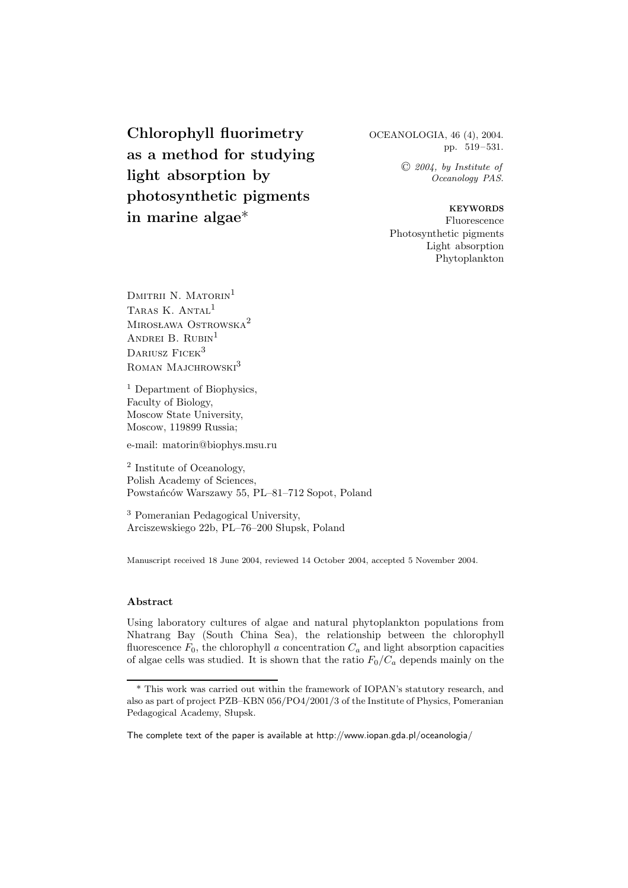**Chlorophyll fluorimetry as a method for studying light absorption by photosynthetic pigments in marine algae**\*

OCEANOLOGIA, 46 (4), 2004. pp. 519–531.

> <sup>C</sup> *2004, by Institute of Oceanology PAS.*

**KEYWORDS** Fluorescence Photosynthetic pigments Light absorption Phytoplankton

DMITRII N. MATORIN<sup>1</sup> TARAS K. ANTAL<sup>1</sup> Mirosława Ostrowska2 ANDREI B. RUBIN<sup>1</sup> DARIUSZ FICEK<sup>3</sup> ROMAN MAJCHROWSKI<sup>3</sup>

<sup>1</sup> Department of Biophysics, Faculty of Biology, Moscow State University, Moscow, 119899 Russia;

e-mail: matorin@biophys.msu.ru

<sup>2</sup> Institute of Oceanology, Polish Academy of Sciences, Powstańców Warszawy 55, PL–81–712 Sopot, Poland

<sup>3</sup> Pomeranian Pedagogical University, Arciszewskiego 22b, PL–76–200 Słupsk, Poland

Manuscript received 18 June 2004, reviewed 14 October 2004, accepted 5 November 2004.

## **Abstract**

Using laboratory cultures of algae and natural phytoplankton populations from Nhatrang Bay (South China Sea), the relationship between the chlorophyll fluorescence  $F_0$ , the chlorophyll *a* concentration  $C_a$  and light absorption capacities of algae cells was studied. It is shown that the ratio  $F_0/C_a$  depends mainly on the

<sup>\*</sup> This work was carried out within the framework of IOPAN's statutory research, and also as part of project PZB–KBN 056/PO4/2001/3 of the Institute of Physics, Pomeranian Pedagogical Academy, Słupsk.

The complete text of the paper is available at http://www.iopan.gda.pl/oceanologia/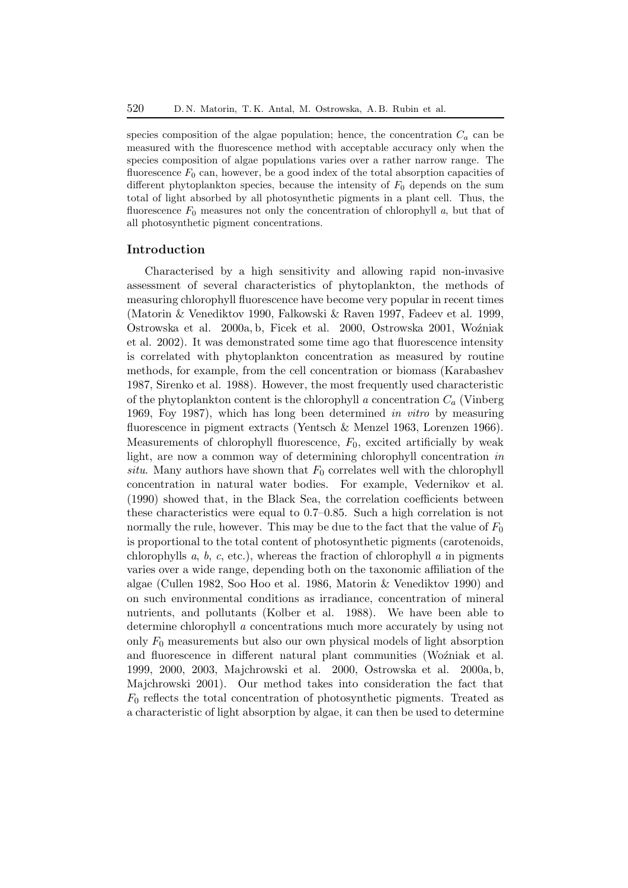species composition of the algae population; hence, the concentration  $C_a$  can be measured with the fluorescence method with acceptable accuracy only when the species composition of algae populations varies over a rather narrow range. The fluorescence  $F_0$  can, however, be a good index of the total absorption capacities of different phytoplankton species, because the intensity of  $F_0$  depends on the sum total of light absorbed by all photosynthetic pigments in a plant cell. Thus, the fluorescence  $F_0$  measures not only the concentration of chlorophyll  $a$ , but that of all photosynthetic pigment concentrations.

# **Introduction**

Characterised by a high sensitivity and allowing rapid non-invasive assessment of several characteristics of phytoplankton, the methods of measuring chlorophyll fluorescence have become very popular in recent times (Matorin & Venediktov 1990, Falkowski & Raven 1997, Fadeev et al. 1999, Ostrowska et al. 2000a, b, Ficek et al. 2000, Ostrowska 2001, Woźniak et al. 2002). It was demonstrated some time ago that fluorescence intensity is correlated with phytoplankton concentration as measured by routine methods, for example, from the cell concentration or biomass (Karabashev 1987, Sirenko et al. 1988). However, the most frequently used characteristic of the phytoplankton content is the chlorophyll *a* concentration  $C_a$  (Vinberg 1969, Foy 1987), which has long been determined *in vitro* by measuring fluorescence in pigment extracts (Yentsch & Menzel 1963, Lorenzen 1966). Measurements of chlorophyll fluorescence,  $F_0$ , excited artificially by weak light, are now a common way of determining chlorophyll concentration *in situ*. Many authors have shown that  $F_0$  correlates well with the chlorophyll concentration in natural water bodies. For example, Vedernikov et al.  $(1990)$  showed that, in the Black Sea, the correlation coefficients between these characteristics were equal to 0.7–0.85. Such a high correlation is not normally the rule, however. This may be due to the fact that the value of  $F_0$ is proportional to the total content of photosynthetic pigments (carotenoids, chlorophylls *a*, *b*, *c*, etc.), whereas the fraction of chlorophyll *a* in pigments varies over a wide range, depending both on the taxonomic affiliation of the algae (Cullen 1982, Soo Hoo et al. 1986, Matorin & Venediktov 1990) and on such environmental conditions as irradiance, concentration of mineral nutrients, and pollutants (Kolber et al. 1988). We have been able to determine chlorophyll *a* concentrations much more accurately by using not only  $F_0$  measurements but also our own physical models of light absorption and fluorescence in different natural plant communities (Woźniaket al. 1999, 2000, 2003, Majchrowski et al. 2000, Ostrowska et al. 2000a, b, Majchrowski 2001). Our method takes into consideration the fact that  $F_0$  reflects the total concentration of photosynthetic pigments. Treated as a characteristic of light absorption by algae, it can then be used to determine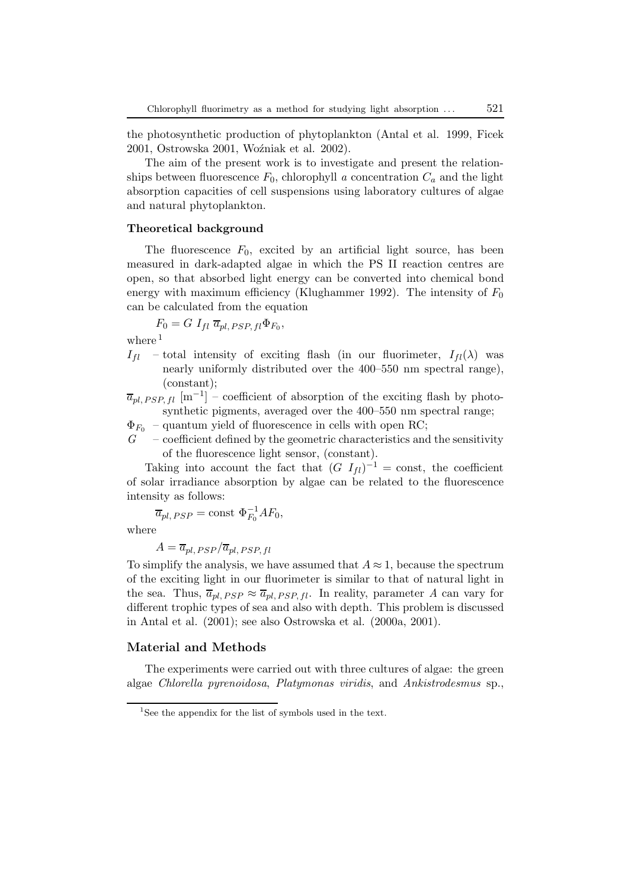the photosynthetic production of phytoplankton (Antal et al. 1999, Ficek 2001, Ostrowska 2001, Woźniak et al. 2002).

The aim of the present work is to investigate and present the relationships between fluorescence  $F_0$ , chlorophyll *a* concentration  $C_a$  and the light absorption capacities of cell suspensions using laboratory cultures of algae and natural phytoplankton.

## **Theoretical background**

The fluorescence  $F_0$ , excited by an artificial light source, has been measured in dark-adapted algae in which the PS II reaction centres are open, so that absorbed light energy can be converted into chemical bond energy with maximum efficiency (Klughammer 1992). The intensity of  $F_0$ can be calculated from the equation

$$
F_0 = G I_{fl} \overline{a}_{pl,PSP,fl} \Phi_{F_0},
$$

where<sup>1</sup>

 $I_{fl}$  – total intensity of exciting flash (in our fluorimeter,  $I_{fl}(\lambda)$  was nearly uniformly distributed over the 400–550 nm spectral range), (constant);

 $\overline{a}_{pl,PSP,fl}$  [m<sup>-1</sup>] – coefficient of absorption of the exciting flash by photosynthetic pigments, averaged over the 400–550 nm spectral range;

 $\Phi_{F_0}$  – quantum yield of fluorescence in cells with open RC;

*G* – coefficient defined by the geometric characteristics and the sensitivity of the fluorescence light sensor, (constant).

Taking into account the fact that  $(G I_{fl})^{-1} = \text{const}$ , the coefficient of solar irradiance absorption by algae can be related to the fluorescence intensity as follows:

 $\overline{a}_{pl,\, PSP} = \text{const} \; \Phi_{F_0}^{-1}AF_0,$ 

where

$$
A = \overline{a}_{pl,PSP}/\overline{a}_{pl,PSP,fl}
$$

To simplify the analysis, we have assumed that  $A \approx 1$ , because the spectrum of the exciting light in our fluorimeter is similar to that of natural light in the sea. Thus,  $\overline{a}_{pl, PSP} \approx \overline{a}_{pl, PSP, fl}$ . In reality, parameter *A* can vary for different trophic types of sea and also with depth. This problem is discussed in Antal et al. (2001); see also Ostrowska et al. (2000a, 2001).

## **Material and Methods**

The experiments were carried out with three cultures of algae: the green algae *Chlorella pyrenoidosa*, *Platymonas viridis*, and *Ankistrodesmus* sp.,

<sup>&</sup>lt;sup>1</sup>See the appendix for the list of symbols used in the text.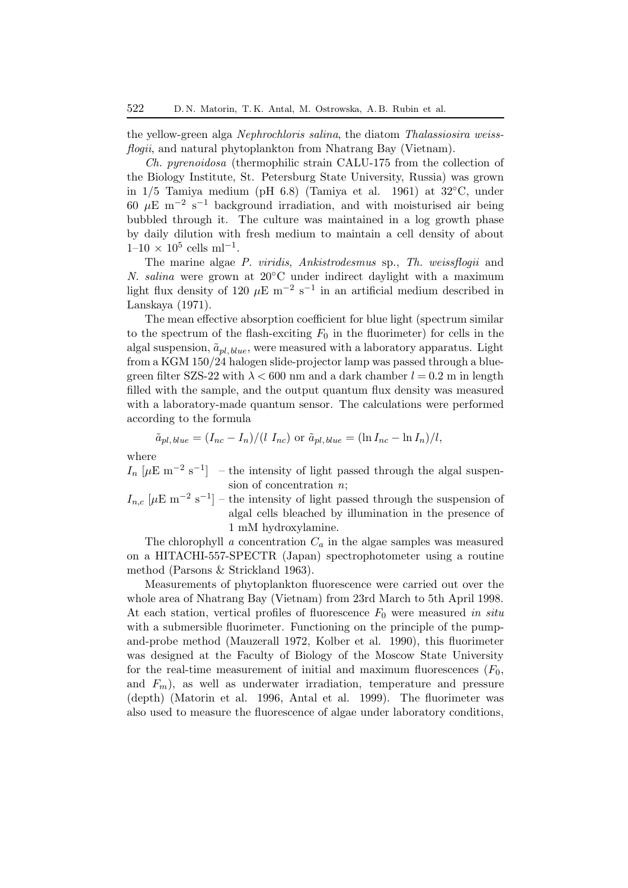the yellow-green alga *Nephrochloris salina*, the diatom *Thalassiosira weissflogii*, and natural phytoplankton from Nhatrang Bay (Vietnam).

*Ch. pyrenoidosa* (thermophilic strain CALU-175 from the collection of the Biology Institute, St. Petersburg State University, Russia) was grown in  $1/5$  Tamiya medium (pH 6.8) (Tamiya et al. 1961) at  $32^{\circ}$ C, under 60  $\mu$ E m<sup>-2</sup> s<sup>-1</sup> background irradiation, and with moisturised air being bubbled through it. The culture was maintained in a log growth phase by daily dilution with fresh medium to maintain a cell density of about  $1-10 \times 10^5$  cells ml<sup>-1</sup>.

The marine algae *P. viridis*, *Ankistrodesmus* sp., *Th. weissflogii* and *N. salina* were grown at 20°C under indirect daylight with a maximum light flux density of 120  $\mu$ E m<sup>-2</sup> s<sup>-1</sup> in an artificial medium described in Lanskaya (1971).

The mean effective absorption coefficient for blue light (spectrum similar to the spectrum of the flash-exciting  $F_0$  in the fluorimeter) for cells in the algal suspension,  $\tilde{a}_{pl, blue}$ , were measured with a laboratory apparatus. Light from a KGM 150/24 halogen slide-projector lamp was passed through a bluegreen filter SZS-22 with  $\lambda < 600$  nm and a dark chamber  $l = 0.2$  m in length filled with the sample, and the output quantum flux density was measured with a laboratory-made quantum sensor. The calculations were performed according to the formula

$$
\tilde{a}_{pl,\,blue} = (I_{nc} - I_n)/(l I_{nc}) \text{ or } \tilde{a}_{pl,\,blue} = (\ln I_{nc} - \ln I_n)/l,
$$

where

 $I_n$  [ $\mu$ E m<sup>-2</sup> s<sup>-1</sup>] – the intensity of light passed through the algal suspension of concentration *n*;

 $I_{n,c}$  [ $\mu$ E m<sup>−2</sup> s<sup>−1</sup>] – the intensity of light passed through the suspension of algal cells bleached by illumination in the presence of 1 mM hydroxylamine.

The chlorophyll *a* concentration  $C_a$  in the algae samples was measured on a HITACHI-557-SPECTR (Japan) spectrophotometer using a routine method (Parsons & Strickland 1963).

Measurements of phytoplankton fluorescence were carried out over the whole area of Nhatrang Bay (Vietnam) from 23rd March to 5th April 1998. At each station, vertical profiles of fluorescence F<sup>0</sup> were measured *in situ* with a submersible fluorimeter. Functioning on the principle of the pumpand-probe method (Mauzerall 1972, Kolber et al. 1990), this fluorimeter was designed at the Faculty of Biology of the Moscow State University for the real-time measurement of initial and maximum fluorescences  $(F_0,$ and  $F_m$ ), as well as underwater irradiation, temperature and pressure (depth) (Matorin et al. 1996, Antal et al. 1999). The fluorimeter was also used to measure the fluorescence of algae under laboratory conditions,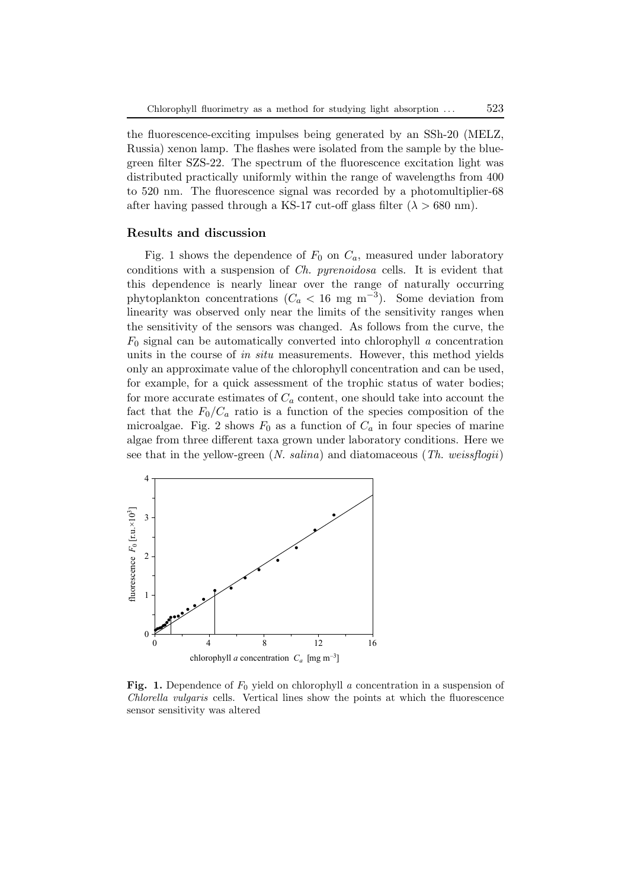the fluorescence-exciting impulses being generated by an SSh-20 (MELZ, Russia) xenon lamp. The flashes were isolated from the sample by the bluegreen filter SZS-22. The spectrum of the fluorescence excitation light was distributed practically uniformly within the range of wavelengths from 400 to 520 nm. The fluorescence signal was recorded by a photomultiplier-68 after having passed through a KS-17 cut-off glass filter  $(\lambda > 680 \text{ nm})$ .

#### **Results and discussion**

Fig. 1 shows the dependence of  $F_0$  on  $C_a$ , measured under laboratory conditions with a suspension of *Ch. pyrenoidosa* cells. It is evident that this dependence is nearly linear over the range of naturally occurring phytoplankton concentrations ( $C_a < 16$  mg m<sup>-3</sup>). Some deviation from linearity was observed only near the limits of the sensitivity ranges when the sensitivity of the sensors was changed. As follows from the curve, the  $F_0$  signal can be automatically converted into chlorophyll  $a$  concentration units in the course of *in situ* measurements. However, this method yields only an approximate value of the chlorophyll concentration and can be used, for example, for a quick assessment of the trophic status of water bodies; for more accurate estimates of  $C_a$  content, one should take into account the fact that the  $F_0/C_a$  ratio is a function of the species composition of the microalgae. Fig. 2 shows  $F_0$  as a function of  $C_a$  in four species of marine algae from three different taxa grown under laboratory conditions. Here we see that in the yellow-green (*N. salina*) and diatomaceous (*Th. weissflogii*)



Fig. 1. Dependence of  $F_0$  yield on chlorophyll *a* concentration in a suspension of *Chlorella vulgaris* cells. Vertical lines show the points at which the fluorescence sensor sensitivity was altered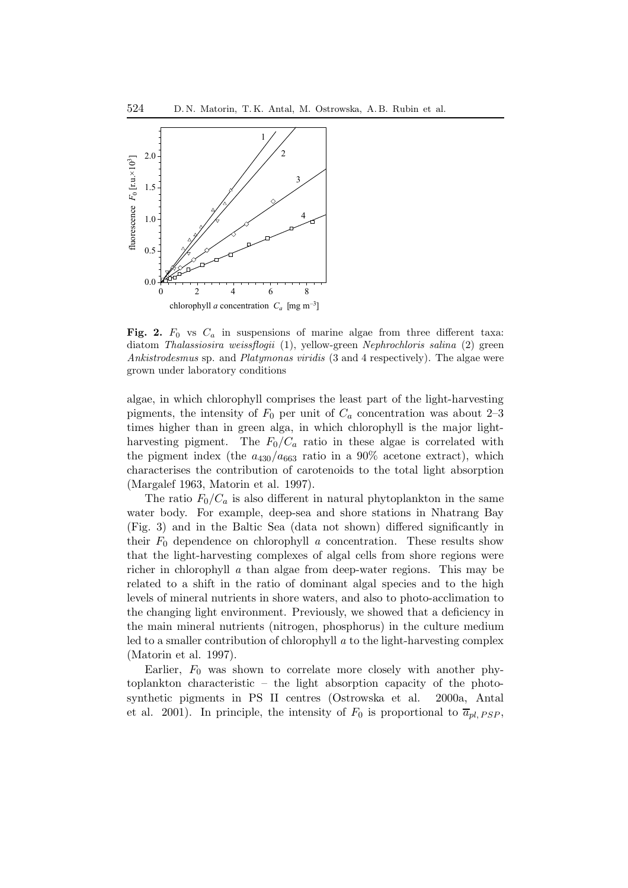

**Fig. 2.**  $F_0$  vs  $C_a$  in suspensions of marine algae from three different taxa: diatom *Thalassiosira weissflogii* (1), yellow-green *Nephrochloris salina* (2) green *Ankistrodesmus* sp. and *Platymonas viridis* (3 and 4 respectively). The algae were grown under laboratory conditions

algae, in which chlorophyll comprises the least part of the light-harvesting pigments, the intensity of  $F_0$  per unit of  $C_a$  concentration was about 2–3 times higher than in green alga, in which chlorophyll is the major lightharvesting pigment. The  $F_0/C_a$  ratio in these algae is correlated with the pigment index (the  $a_{430}/a_{663}$  ratio in a 90% acetone extract), which characterises the contribution of carotenoids to the total light absorption (Margalef 1963, Matorin et al. 1997).

The ratio  $F_0/C_a$  is also different in natural phytoplankton in the same water body. For example, deep-sea and shore stations in Nhatrang Bay (Fig. 3) and in the Baltic Sea (data not shown) differed significantly in their  $F_0$  dependence on chlorophyll *a* concentration. These results show that the light-harvesting complexes of algal cells from shore regions were richer in chlorophyll *a* than algae from deep-water regions. This may be related to a shift in the ratio of dominant algal species and to the high levels of mineral nutrients in shore waters, and also to photo-acclimation to the changing light environment. Previously, we showed that a deficiency in the main mineral nutrients (nitrogen, phosphorus) in the culture medium led to a smaller contribution of chlorophyll *a* to the light-harvesting complex (Matorin et al. 1997).

Earlier,  $F_0$  was shown to correlate more closely with another phytoplankton characteristic – the light absorption capacity of the photosynthetic pigments in PS II centres (Ostrowska et al. 2000a, Antal et al. 2001). In principle, the intensity of  $F_0$  is proportional to  $\overline{a}_{pl,PSP}$ ,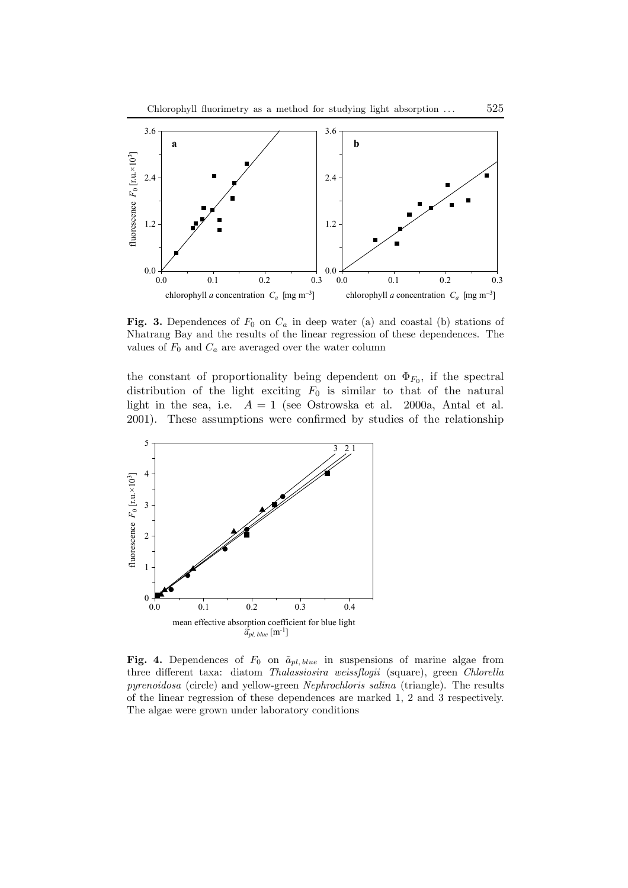

**Fig. 3.** Dependences of  $F_0$  on  $C_a$  in deep water (a) and coastal (b) stations of Nhatrang Bay and the results of the linear regression of these dependences. The values of  $F_0$  and  $C_a$  are averaged over the water column

the constant of proportionality being dependent on  $\Phi_{F_0}$ , if the spectral distribution of the light exciting  $F_0$  is similar to that of the natural light in the sea, i.e.  $A = 1$  (see Ostrowska et al. 2000a, Antal et al. 2001). These assumptions were confirmed by studies of the relationship



**Fig. 4.** Dependences of  $F_0$  on  $\tilde{a}_{pl, blue}$  in suspensions of marine algae from three different taxa: diatom *Thalassiosira weissflogii* (square), green *Chlorella pyrenoidosa* (circle) and yellow-green *Nephrochloris salina* (triangle). The results of the linear regression of these dependences are marked 1, 2 and 3 respectively. The algae were grown under laboratory conditions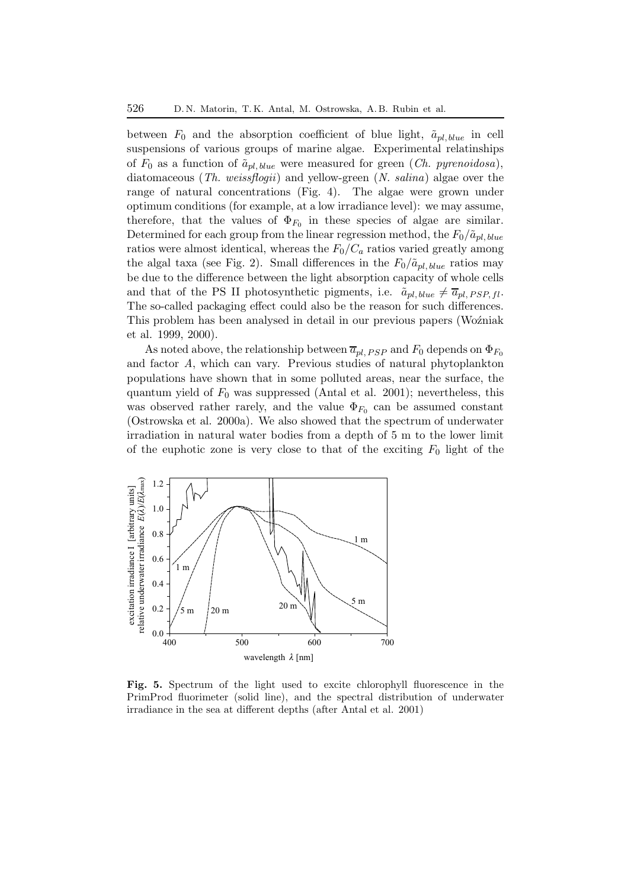between  $F_0$  and the absorption coefficient of blue light,  $\tilde{a}_{nl, blue}$  in cell suspensions of various groups of marine algae. Experimental relatinships of  $F_0$  as a function of  $\tilde{a}_{pl, blue}$  were measured for green (*Ch. pyrenoidosa*), diatomaceous (*Th. weissflogii*) and yellow-green (*N. salina*) algae over the range of natural concentrations (Fig. 4). The algae were grown under optimum conditions (for example, at a low irradiance level): we may assume, therefore, that the values of  $\Phi_{F_0}$  in these species of algae are similar. Determined for each group from the linear regression method, the  $F_0/\tilde{a}_{pl, blue}$ ratios were almost identical, whereas the  $F_0/C_a$  ratios varied greatly among the algal taxa (see Fig. 2). Small differences in the  $F_0/\tilde{a}_{pl, blue}$  ratios may be due to the difference between the light absorption capacity of whole cells and that of the PS II photosynthetic pigments, i.e.  $\tilde{a}_{pl, blue} \neq \overline{a}_{pl, PSP, fl}$ . The so-called packaging effect could also be the reason for such differences. This problem has been analysed in detail in our previous papers (Woźniak et al. 1999, 2000).

As noted above, the relationship between  $\overline{a}_{pl, PSP}$  and  $F_0$  depends on  $\Phi_{F_0}$ and factor *A*, which can vary. Previous studies of natural phytoplankton populations have shown that in some polluted areas, near the surface, the quantum yield of  $F_0$  was suppressed (Antal et al. 2001); nevertheless, this was observed rather rarely, and the value  $\Phi_{F_0}$  can be assumed constant (Ostrowska et al. 2000a). We also showed that the spectrum of underwater irradiation in natural water bodies from a depth of 5 m to the lower limit of the euphotic zone is very close to that of the exciting  $F_0$  light of the



**Fig. 5.** Spectrum of the light used to excite chlorophyll fluorescence in the PrimProd fluorimeter (solid line), and the spectral distribution of underwater irradiance in the sea at different depths (after Antal et al. 2001)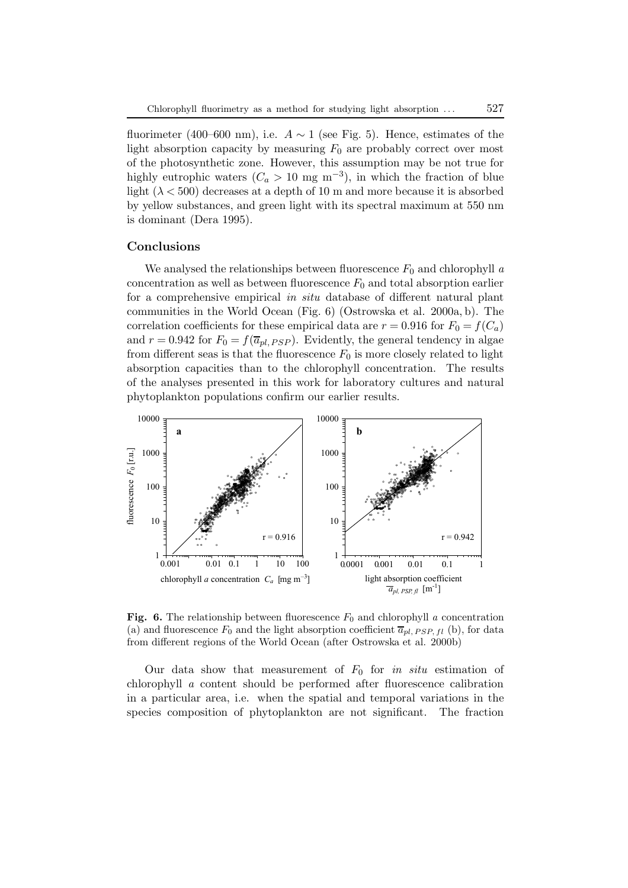fluorimeter (400–600 nm), i.e.  $A \sim 1$  (see Fig. 5). Hence, estimates of the light absorption capacity by measuring  $F_0$  are probably correct over most of the photosynthetic zone. However, this assumption may be not true for highly eutrophic waters ( $C_a > 10$  mg m<sup>-3</sup>), in which the fraction of blue light  $(\lambda < 500)$  decreases at a depth of 10 m and more because it is absorbed by yellow substances, and green light with its spectral maximum at 550 nm is dominant (Dera 1995).

# **Conclusions**

We analysed the relationships between fluorescence  $F_0$  and chlorophyll  $a$ concentration as well as between fluorescence  $F_0$  and total absorption earlier for a comprehensive empirical *in situ* database of different natural plant communities in the World Ocean (Fig. 6) (Ostrowska et al. 2000a, b). The correlation coefficients for these empirical data are  $r = 0.916$  for  $F_0 = f(C_a)$ and  $r = 0.942$  for  $F_0 = f(\overline{a}_{pl,PSP})$ . Evidently, the general tendency in algae from different seas is that the fluorescence  $F_0$  is more closely related to light absorption capacities than to the chlorophyll concentration. The results of the analyses presented in this workfor laboratory cultures and natural phytoplankton populations confirm our earlier results.



**Fig. 6.** The relationship between fluorescence  $F_0$  and chlorophyll *a* concentration (a) and fluorescence  $F_0$  and the light absorption coefficient  $\overline{a}_{nl}$   $_{PSP}$   $_{fl}$  (b), for data from different regions of the World Ocean (after Ostrowska et al. 2000b)

Our data show that measurement of  $F_0$  for *in situ* estimation of chlorophyll *a* content should be performed after fluorescence calibration in a particular area, i.e. when the spatial and temporal variations in the species composition of phytoplankton are not significant. The fraction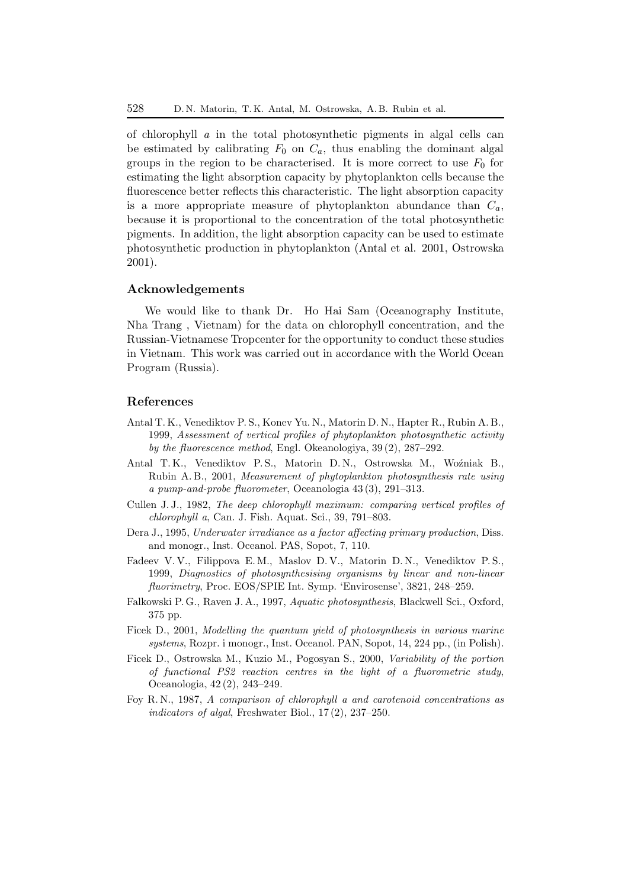of chlorophyll *a* in the total photosynthetic pigments in algal cells can be estimated by calibrating  $F_0$  on  $C_a$ , thus enabling the dominant algal groups in the region to be characterised. It is more correct to use  $F_0$  for estimating the light absorption capacity by phytoplankton cells because the fluorescence better reflects this characteristic. The light absorption capacity is a more appropriate measure of phytoplankton abundance than C*a*, because it is proportional to the concentration of the total photosynthetic pigments. In addition, the light absorption capacity can be used to estimate photosynthetic production in phytoplankton (Antal et al. 2001, Ostrowska 2001).

## **Acknowledgements**

We would like to thank Dr. Ho Hai Sam (Oceanography Institute, Nha Trang , Vietnam) for the data on chlorophyll concentration, and the Russian-Vietnamese Tropcenter for the opportunity to conduct these studies in Vietnam. This workwas carried out in accordance with the World Ocean Program (Russia).

## **References**

- Antal T. K., Venediktov P. S., Konev Yu. N., Matorin D. N., Hapter R., Rubin A. B., 1999, *Assessment of vertical profiles of phytoplankton photosynthetic activity by the fluorescence method*, Engl. Okeanologiya, 39 (2), 287–292.
- Antal T. K., Venediktov P. S., Matorin D. N., Ostrowska M., Woźniak B., Rubin A. B., 2001, *Measurement of phytoplankton photosynthesis rate using a pump-and-probe fluorometer*, Oceanologia 43 (3), 291–313.
- Cullen J. J., 1982, *The deep chlorophyll maximum: comparing vertical profiles of chlorophyll a*, Can. J. Fish. Aquat. Sci., 39, 791–803.
- Dera J., 1995, *Underwater irradiance as a factor affecting primary production*, Diss. and monogr., Inst. Oceanol. PAS, Sopot, 7, 110.
- Fadeev V. V., Filippova E. M., Maslov D. V., Matorin D. N., Venediktov P. S., 1999, *Diagnostics of photosynthesising organisms by linear and non-linear fluorimetry*, Proc. EOS/SPIE Int. Symp. 'Envirosense', 3821, 248–259.
- Falkowski P. G., Raven J. A., 1997, *Aquatic photosynthesis*, Blackwell Sci., Oxford, 375 pp.
- FicekD., 2001, *Modelling the quantum yield of photosynthesis in various marine systems*, Rozpr. i monogr., Inst. Oceanol. PAN, Sopot, 14, 224 pp., (in Polish).
- FicekD., Ostrowska M., Kuzio M., Pogosyan S., 2000, *Variability of the portion of functional PS2 reaction centres in the light of a fluorometric study*, Oceanologia, 42 (2), 243–249.
- Foy R. N., 1987, *A comparison of chlorophyll a and carotenoid concentrations as indicators of algal*, Freshwater Biol., 17 (2), 237–250.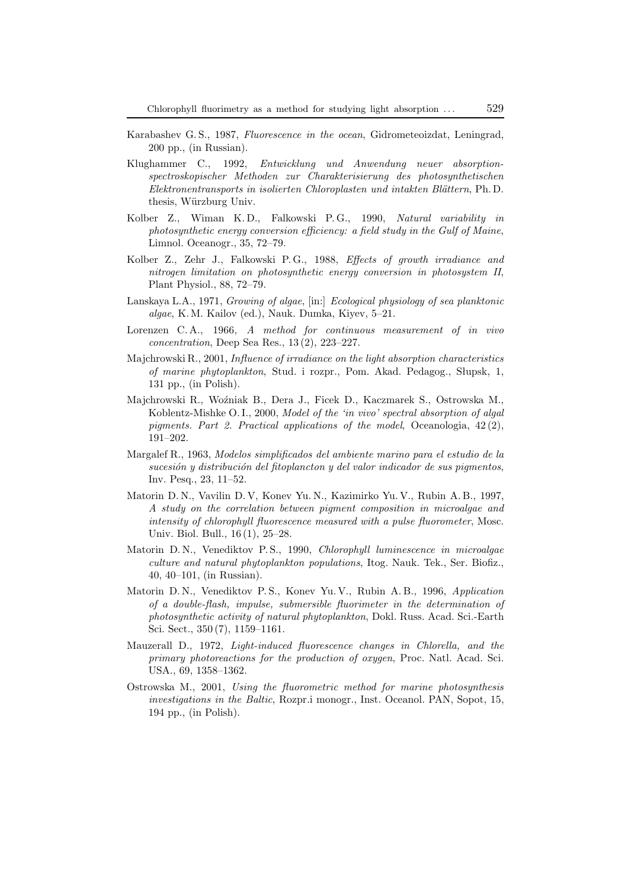- Karabashev G. S., 1987, *Fluorescence in the ocean*, Gidrometeoizdat, Leningrad, 200 pp., (in Russian).
- Klughammer C., 1992, *Entwicklung und Anwendung neuer absorptionspectroskopischer Methoden zur Charakterisierung des photosynthetischen Elektronentransports in isolierten Chloroplasten und intakten Bl¨attern*, Ph. D. thesis, Würzburg Univ.
- Kolber Z., Wiman K. D., Falkowski P. G., 1990, *Natural variability in photosynthetic energy conversion efficiency: a field study in the Gulf of Maine*, Limnol. Oceanogr., 35, 72–79.
- Kolber Z., Zehr J., Falkowski P. G., 1988, *Effects of growth irradiance and nitrogen limitation on photosynthetic energy conversion in photosystem II*, Plant Physiol., 88, 72–79.
- Lanskaya L.A., 1971, *Growing of algae*, [in:] *Ecological physiology of sea planktonic algae*, K. M. Kailov (ed.), Nauk. Dumka, Kiyev, 5–21.
- Lorenzen C. A., 1966, *A method for continuous measurement of in vivo concentration*, Deep Sea Res., 13 (2), 223–227.
- Majchrowski R., 2001, *Influence of irradiance on the light absorption characteristics of marine phytoplankton*, Stud. i rozpr., Pom. Akad. Pedagog., Słupsk, 1, 131 pp., (in Polish).
- Majchrowski R., Woźniak B., Dera J., Ficek D., Kaczmarek S., Ostrowska M., Koblentz-Mishke O. I., 2000, *Model of the 'in vivo' spectral absorption of algal pigments. Part 2. Practical applications of the model*, Oceanologia, 42 (2), 191–202.
- Margalef R., 1963, *Modelos simplificados del ambiente marino para el estudio de la sucesión y distribución del fitoplancton y del valor indicador de sus pigmentos*, Inv. Pesq., 23, 11–52.
- Matorin D. N., Vavilin D. V, Konev Yu. N., Kazimirko Yu. V., Rubin A. B., 1997, *A study on the correlation between pigment composition in microalgae and intensity of chlorophyll fluorescence measured with a pulse fluorometer*, Mosc. Univ. Biol. Bull., 16 (1), 25–28.
- Matorin D. N., Venediktov P. S., 1990, *Chlorophyll luminescence in microalgae culture and natural phytoplankton populations*, Itog. Nauk. Tek., Ser. Biofiz., 40, 40–101, (in Russian).
- Matorin D. N., Venediktov P. S., Konev Yu. V., Rubin A. B., 1996, *Application of a double-flash, impulse, submersible fluorimeter in the determination of photosynthetic activity of natural phytoplankton*, Dokl. Russ. Acad. Sci.-Earth Sci. Sect., 350 (7), 1159–1161.
- Mauzerall D., 1972, *Light-induced fluorescence changes in Chlorella, and the primary photoreactions for the production of oxygen*, Proc. Natl. Acad. Sci. USA., 69, 1358–1362.
- Ostrowska M., 2001, *Using the fluorometric method for marine photosynthesis investigations in the Baltic*, Rozpr.i monogr., Inst. Oceanol. PAN, Sopot, 15, 194 pp., (in Polish).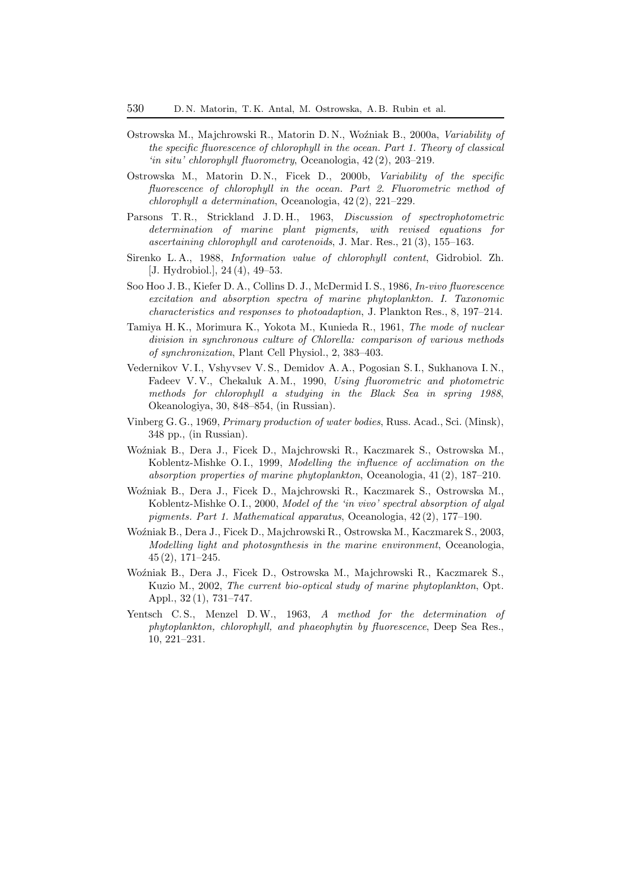- Ostrowska M., Majchrowski R., Matorin D. N., Woźniak B., 2000a, *Variability of the specific fluorescence of chlorophyll in the ocean. Part 1. Theory of classical 'in situ' chlorophyll fluorometry*, Oceanologia, 42 (2), 203–219.
- Ostrowska M., Matorin D. N., Ficek D., 2000b, *Variability of the specific fluorescence of chlorophyll in the ocean. Part 2. Fluorometric method of chlorophyll a determination*, Oceanologia, 42 (2), 221–229.
- Parsons T. R., Strickland J. D. H., 1963, *Discussion of spectrophotometric determination of marine plant pigments, with revised equations for ascertaining chlorophyll and carotenoids*, J. Mar. Res., 21 (3), 155–163.
- Sirenko L. A., 1988, *Information value of chlorophyll content*, Gidrobiol. Zh. [J. Hydrobiol.], 24 (4), 49–53.
- Soo Hoo J. B., Kiefer D. A., Collins D. J., McDermid I. S., 1986, *In-vivo fluorescence excitation and absorption spectra of marine phytoplankton. I. Taxonomic characteristics and responses to photoadaption*, J. Plankton Res., 8, 197–214.
- Tamiya H. K., Morimura K., Yokota M., Kunieda R., 1961, *The mode of nuclear division in synchronous culture of Chlorella: comparison of various methods of synchronization*, Plant Cell Physiol., 2, 383–403.
- Vedernikov V. I., Vshyvsev V. S., Demidov A. A., Pogosian S. I., Sukhanova I. N., Fadeev V. V., Chekaluk A. M., 1990, *Using fluorometric and photometric methods for chlorophyll a studying in the Black Sea in spring 1988*, Okeanologiya, 30, 848–854, (in Russian).
- Vinberg G. G., 1969, *Primary production of water bodies*, Russ. Acad., Sci. (Minsk), 348 pp., (in Russian).
- Woźniak B., Dera J., Ficek D., Majchrowski R., Kaczmarek S., Ostrowska M., Koblentz-Mishke O. I., 1999, *Modelling the influence of acclimation on the absorption properties of marine phytoplankton*, Oceanologia, 41 (2), 187–210.
- Woźniak B., Dera J., Ficek D., Majchrowski R., Kaczmarek S., Ostrowska M., Koblentz-Mishke O. I., 2000, *Model of the 'in vivo' spectral absorption of algal pigments. Part 1. Mathematical apparatus*, Oceanologia, 42 (2), 177–190.
- WoźniakB., Dera J., FicekD., Majchrowski R., Ostrowska M., KaczmarekS., 2003, *Modelling light and photosynthesis in the marine environment*, Oceanologia, 45 (2), 171–245.
- WoźniakB., Dera J., FicekD., Ostrowska M., Majchrowski R., KaczmarekS., Kuzio M., 2002, *The current bio-optical study of marine phytoplankton*, Opt. Appl., 32 (1), 731–747.
- Yentsch C. S., Menzel D.W., 1963, *A method for the determination of phytoplankton, chlorophyll, and phaeophytin by fluorescence*, Deep Sea Res., 10, 221–231.